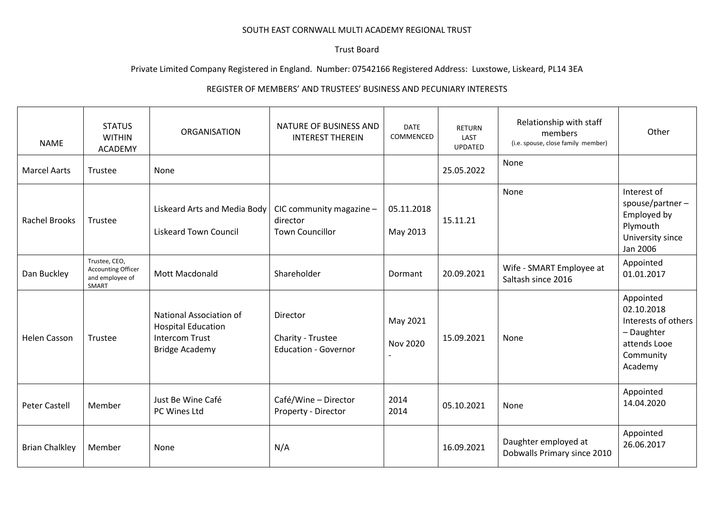## SOUTH EAST CORNWALL MULTI ACADEMY REGIONAL TRUST

## Trust Board

## Private Limited Company Registered in England. Number: 07542166 Registered Address: Luxstowe, Liskeard, PL14 3EA

## REGISTER OF MEMBERS' AND TRUSTEES' BUSINESS AND PECUNIARY INTERESTS

| <b>NAME</b>           | <b>STATUS</b><br><b>WITHIN</b><br><b>ACADEMY</b>                       | <b>ORGANISATION</b>                                                                                    | NATURE OF BUSINESS AND<br><b>INTEREST THEREIN</b>              | <b>DATE</b><br>COMMENCED | <b>RETURN</b><br>LAST<br><b>UPDATED</b> | Relationship with staff<br>members<br>(i.e. spouse, close family member) | Other                                                                                                |
|-----------------------|------------------------------------------------------------------------|--------------------------------------------------------------------------------------------------------|----------------------------------------------------------------|--------------------------|-----------------------------------------|--------------------------------------------------------------------------|------------------------------------------------------------------------------------------------------|
| <b>Marcel Aarts</b>   | Trustee                                                                | None                                                                                                   |                                                                |                          | 25.05.2022                              | None                                                                     |                                                                                                      |
| <b>Rachel Brooks</b>  | Trustee                                                                | Liskeard Arts and Media Body<br><b>Liskeard Town Council</b>                                           | CIC community magazine -<br>director<br><b>Town Councillor</b> | 05.11.2018<br>May 2013   | 15.11.21                                | None                                                                     | Interest of<br>$spouse/partner-$<br>Employed by<br>Plymouth<br>University since<br>Jan 2006          |
| Dan Buckley           | Trustee, CEO,<br><b>Accounting Officer</b><br>and employee of<br>SMART | Mott Macdonald                                                                                         | Shareholder                                                    | Dormant                  | 20.09.2021                              | Wife - SMART Employee at<br>Saltash since 2016                           | Appointed<br>01.01.2017                                                                              |
| <b>Helen Casson</b>   | Trustee                                                                | National Association of<br><b>Hospital Education</b><br><b>Intercom Trust</b><br><b>Bridge Academy</b> | Director<br>Charity - Trustee<br><b>Education - Governor</b>   | May 2021<br>Nov 2020     | 15.09.2021                              | None                                                                     | Appointed<br>02.10.2018<br>Interests of others<br>- Daughter<br>attends Looe<br>Community<br>Academy |
| <b>Peter Castell</b>  | Member                                                                 | Just Be Wine Café<br>PC Wines Ltd                                                                      | Café/Wine - Director<br>Property - Director                    | 2014<br>2014             | 05.10.2021                              | None                                                                     | Appointed<br>14.04.2020                                                                              |
| <b>Brian Chalkley</b> | Member                                                                 | None                                                                                                   | N/A                                                            |                          | 16.09.2021                              | Daughter employed at<br>Dobwalls Primary since 2010                      | Appointed<br>26.06.2017                                                                              |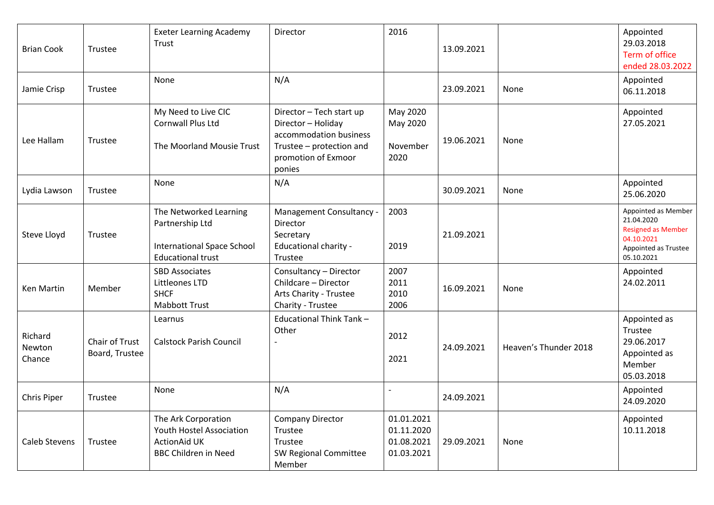| <b>Brian Cook</b>           | Trustee                          | <b>Exeter Learning Academy</b><br>Trust<br>None                                                              | Director<br>N/A                                                                                                                       | 2016                                                 | 13.09.2021 |                       | Appointed<br>29.03.2018<br>Term of office<br>ended 28.03.2022<br>Appointed                                         |
|-----------------------------|----------------------------------|--------------------------------------------------------------------------------------------------------------|---------------------------------------------------------------------------------------------------------------------------------------|------------------------------------------------------|------------|-----------------------|--------------------------------------------------------------------------------------------------------------------|
| Jamie Crisp                 | Trustee                          |                                                                                                              |                                                                                                                                       |                                                      | 23.09.2021 | None                  | 06.11.2018                                                                                                         |
| Lee Hallam                  | Trustee                          | My Need to Live CIC<br>Cornwall Plus Ltd<br>The Moorland Mousie Trust                                        | Director - Tech start up<br>Director - Holiday<br>accommodation business<br>Trustee - protection and<br>promotion of Exmoor<br>ponies | May 2020<br>May 2020<br>November<br>2020             | 19.06.2021 | None                  | Appointed<br>27.05.2021                                                                                            |
| Lydia Lawson                | Trustee                          | None                                                                                                         | N/A                                                                                                                                   |                                                      | 30.09.2021 | None                  | Appointed<br>25.06.2020                                                                                            |
| Steve Lloyd                 | Trustee                          | The Networked Learning<br>Partnership Ltd<br><b>International Space School</b><br><b>Educational trust</b>   | Management Consultancy -<br>Director<br>Secretary<br>Educational charity -<br>Trustee                                                 | 2003<br>2019                                         | 21.09.2021 |                       | Appointed as Member<br>21.04.2020<br><b>Resigned as Member</b><br>04.10.2021<br>Appointed as Trustee<br>05.10.2021 |
| Ken Martin                  | Member                           | <b>SBD Associates</b><br>Littleones LTD<br><b>SHCF</b><br><b>Mabbott Trust</b>                               | Consultancy - Director<br>Childcare - Director<br>Arts Charity - Trustee<br>Charity - Trustee                                         | 2007<br>2011<br>2010<br>2006                         | 16.09.2021 | None                  | Appointed<br>24.02.2011                                                                                            |
| Richard<br>Newton<br>Chance | Chair of Trust<br>Board, Trustee | Learnus<br><b>Calstock Parish Council</b>                                                                    | Educational Think Tank-<br>Other                                                                                                      | 2012<br>2021                                         | 24.09.2021 | Heaven's Thunder 2018 | Appointed as<br>Trustee<br>29.06.2017<br>Appointed as<br>Member<br>05.03.2018                                      |
| Chris Piper                 | Trustee                          | None                                                                                                         | N/A                                                                                                                                   |                                                      | 24.09.2021 |                       | Appointed<br>24.09.2020                                                                                            |
| Caleb Stevens               | Trustee                          | The Ark Corporation<br><b>Youth Hostel Association</b><br><b>ActionAid UK</b><br><b>BBC Children in Need</b> | <b>Company Director</b><br>Trustee<br>Trustee<br>SW Regional Committee<br>Member                                                      | 01.01.2021<br>01.11.2020<br>01.08.2021<br>01.03.2021 | 29.09.2021 | None                  | Appointed<br>10.11.2018                                                                                            |